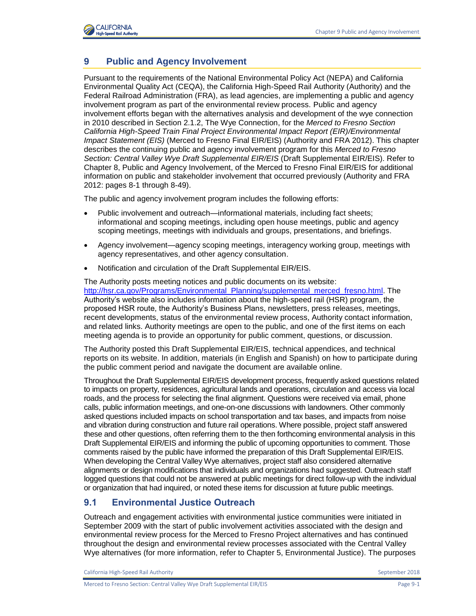

# **9 Public and Agency Involvement**

Pursuant to the requirements of the National Environmental Policy Act (NEPA) and California Environmental Quality Act (CEQA), the California High-Speed Rail Authority (Authority) and the Federal Railroad Administration (FRA), as lead agencies, are implementing a public and agency involvement program as part of the environmental review process. Public and agency involvement efforts began with the alternatives analysis and development of the wye connection in 2010 described in Section 2.1.2, The Wye Connection, for the *Merced to Fresno Section California High-Speed Train Final Project Environmental Impact Report (EIR)/Environmental Impact Statement (EIS)* (Merced to Fresno Final EIR/EIS) (Authority and FRA 2012). This chapter describes the continuing public and agency involvement program for this *Merced to Fresno Section: Central Valley Wye Draft Supplemental EIR/EIS* (Draft Supplemental EIR/EIS). Refer to Chapter 8, Public and Agency Involvement, of the Merced to Fresno Final EIR/EIS for additional information on public and stakeholder involvement that occurred previously (Authority and FRA 2012: pages 8-1 through 8-49).

The public and agency involvement program includes the following efforts:

- Public involvement and outreach—informational materials, including fact sheets; informational and scoping meetings, including open house meetings, public and agency scoping meetings, meetings with individuals and groups, presentations, and briefings.
- Agency involvement—agency scoping meetings, interagency working group, meetings with agency representatives, and other agency consultation.
- Notification and circulation of the Draft Supplemental EIR/EIS.

The Authority posts meeting notices and public documents on its website: [http://hsr.ca.gov/Programs/Environmental\\_Planning/supplemental\\_merced\\_fresno.html.](http://hsr.ca.gov/Programs/Environmental_Planning/supplemental_merced_fresno.html) The Authority's website also includes information about the high-speed rail (HSR) program, the proposed HSR route, the Authority's Business Plans, newsletters, press releases, meetings, recent developments, status of the environmental review process, Authority contact information, and related links. Authority meetings are open to the public, and one of the first items on each meeting agenda is to provide an opportunity for public comment, questions, or discussion.

The Authority posted this Draft Supplemental EIR/EIS, technical appendices, and technical reports on its website. In addition, materials (in English and Spanish) on how to participate during the public comment period and navigate the document are available online.

Throughout the Draft Supplemental EIR/EIS development process, frequently asked questions related to impacts on property, residences, agricultural lands and operations, circulation and access via local roads, and the process for selecting the final alignment. Questions were received via email, phone calls, public information meetings, and one-on-one discussions with landowners. Other commonly asked questions included impacts on school transportation and tax bases, and impacts from noise and vibration during construction and future rail operations. Where possible, project staff answered these and other questions, often referring them to the then forthcoming environmental analysis in this Draft Supplemental EIR/EIS and informing the public of upcoming opportunities to comment. Those comments raised by the public have informed the preparation of this Draft Supplemental EIR/EIS. When developing the Central Valley Wye alternatives, project staff also considered alternative alignments or design modifications that individuals and organizations had suggested. Outreach staff logged questions that could not be answered at public meetings for direct follow-up with the individual or organization that had inquired, or noted these items for discussion at future public meetings.

### **9.1 Environmental Justice Outreach**

Outreach and engagement activities with environmental justice communities were initiated in September 2009 with the start of public involvement activities associated with the design and environmental review process for the Merced to Fresno Project alternatives and has continued throughout the design and environmental review processes associated with the Central Valley Wye alternatives (for more information, refer to Chapter 5, Environmental Justice). The purposes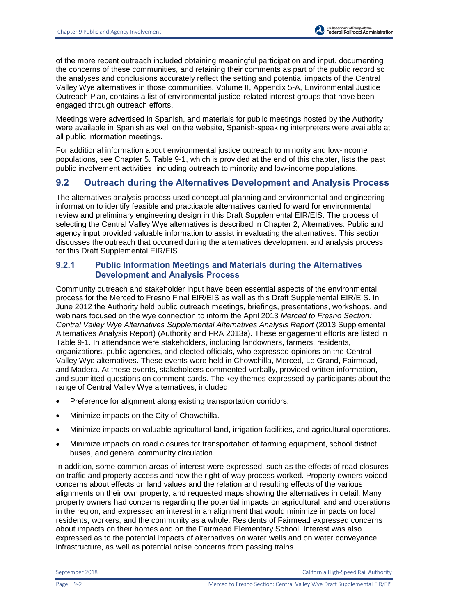of the more recent outreach included obtaining meaningful participation and input, documenting the concerns of these communities, and retaining their comments as part of the public record so the analyses and conclusions accurately reflect the setting and potential impacts of the Central Valley Wye alternatives in those communities. Volume II, Appendix 5-A, Environmental Justice Outreach Plan, contains a list of environmental justice-related interest groups that have been engaged through outreach efforts.

Meetings were advertised in Spanish, and materials for public meetings hosted by the Authority were available in Spanish as well on the website, Spanish-speaking interpreters were available at all public information meetings.

For additional information about environmental justice outreach to minority and low-income populations, see Chapter 5. [Table 9-1,](#page-5-0) which is provided at the end of this chapter, lists the past public involvement activities, including outreach to minority and low-income populations.

# **9.2 Outreach during the Alternatives Development and Analysis Process**

The alternatives analysis process used conceptual planning and environmental and engineering information to identify feasible and practicable alternatives carried forward for environmental review and preliminary engineering design in this Draft Supplemental EIR/EIS. The process of selecting the Central Valley Wye alternatives is described in Chapter 2, Alternatives. Public and agency input provided valuable information to assist in evaluating the alternatives. This section discusses the outreach that occurred during the alternatives development and analysis process for this Draft Supplemental EIR/EIS.

### **9.2.1 Public Information Meetings and Materials during the Alternatives Development and Analysis Process**

Community outreach and stakeholder input have been essential aspects of the environmental process for the Merced to Fresno Final EIR/EIS as well as this Draft Supplemental EIR/EIS. In June 2012 the Authority held public outreach meetings, briefings, presentations, workshops, and webinars focused on the wye connection to inform the April 2013 *Merced to Fresno Section: Central Valley Wye Alternatives Supplemental Alternatives Analysis Report* (2013 Supplemental Alternatives Analysis Report) (Authority and FRA 2013a). These engagement efforts are listed in [Table 9-1.](#page-5-0) In attendance were stakeholders, including landowners, farmers, residents, organizations, public agencies, and elected officials, who expressed opinions on the Central Valley Wye alternatives. These events were held in Chowchilla, Merced, Le Grand, Fairmead, and Madera. At these events, stakeholders commented verbally, provided written information, and submitted questions on comment cards. The key themes expressed by participants about the range of Central Valley Wye alternatives, included:

- Preference for alignment along existing transportation corridors.
- Minimize impacts on the City of Chowchilla.
- Minimize impacts on valuable agricultural land, irrigation facilities, and agricultural operations.
- Minimize impacts on road closures for transportation of farming equipment, school district buses, and general community circulation.

In addition, some common areas of interest were expressed, such as the effects of road closures on traffic and property access and how the right-of-way process worked. Property owners voiced concerns about effects on land values and the relation and resulting effects of the various alignments on their own property, and requested maps showing the alternatives in detail. Many property owners had concerns regarding the potential impacts on agricultural land and operations in the region, and expressed an interest in an alignment that would minimize impacts on local residents, workers, and the community as a whole. Residents of Fairmead expressed concerns about impacts on their homes and on the Fairmead Elementary School. Interest was also expressed as to the potential impacts of alternatives on water wells and on water conveyance infrastructure, as well as potential noise concerns from passing trains.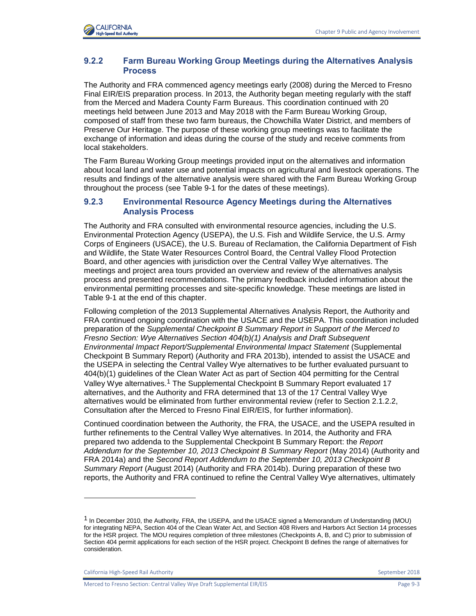### **9.2.2 Farm Bureau Working Group Meetings during the Alternatives Analysis Process**

The Authority and FRA commenced agency meetings early (2008) during the Merced to Fresno Final EIR/EIS preparation process. In 2013, the Authority began meeting regularly with the staff from the Merced and Madera County Farm Bureaus. This coordination continued with 20 meetings held between June 2013 and May 2018 with the Farm Bureau Working Group, composed of staff from these two farm bureaus, the Chowchilla Water District, and members of Preserve Our Heritage. The purpose of these working group meetings was to facilitate the exchange of information and ideas during the course of the study and receive comments from local stakeholders.

The Farm Bureau Working Group meetings provided input on the alternatives and information about local land and water use and potential impacts on agricultural and livestock operations. The results and findings of the alternative analysis were shared with the Farm Bureau Working Group throughout the process (see [Table 9-1](#page-5-0) for the dates of these meetings).

#### **9.2.3 Environmental Resource Agency Meetings during the Alternatives Analysis Process**

The Authority and FRA consulted with environmental resource agencies, including the U.S. Environmental Protection Agency (USEPA), the U.S. Fish and Wildlife Service, the U.S. Army Corps of Engineers (USACE), the U.S. Bureau of Reclamation, the California Department of Fish and Wildlife, the State Water Resources Control Board, the Central Valley Flood Protection Board, and other agencies with jurisdiction over the Central Valley Wye alternatives. The meetings and project area tours provided an overview and review of the alternatives analysis process and presented recommendations. The primary feedback included information about the environmental permitting processes and site-specific knowledge. These meetings are listed in [Table 9-1](#page-5-0) at the end of this chapter.

Following completion of the 2013 Supplemental Alternatives Analysis Report, the Authority and FRA continued ongoing coordination with the USACE and the USEPA. This coordination included preparation of the *Supplemental Checkpoint B Summary Report in Support of the Merced to Fresno Section: Wye Alternatives Section 404(b)(1) Analysis and Draft Subsequent Environmental Impact Report/Supplemental Environmental Impact Statement* (Supplemental Checkpoint B Summary Report) (Authority and FRA 2013b), intended to assist the USACE and the USEPA in selecting the Central Valley Wye alternatives to be further evaluated pursuant to 404(b)(1) guidelines of the Clean Water Act as part of Section 404 permitting for the Central Valley Wye alternatives.<sup>1</sup> The Supplemental Checkpoint B Summary Report evaluated 17 alternatives, and the Authority and FRA determined that 13 of the 17 Central Valley Wye alternatives would be eliminated from further environmental review (refer to Section 2.1.2.2, Consultation after the Merced to Fresno Final EIR/EIS, for further information).

Continued coordination between the Authority, the FRA, the USACE, and the USEPA resulted in further refinements to the Central Valley Wye alternatives. In 2014, the Authority and FRA prepared two addenda to the Supplemental Checkpoint B Summary Report: the *Report Addendum for the September 10, 2013 Checkpoint B Summary Report* (May 2014) (Authority and FRA 2014a) and the *Second Report Addendum to the September 10, 2013 Checkpoint B Summary Report* (August 2014) (Authority and FRA 2014b). During preparation of these two reports, the Authority and FRA continued to refine the Central Valley Wye alternatives, ultimately

California High-Speed Rail Authority **September 2018** September 2018

l

<sup>1</sup> In December 2010, the Authority, FRA, the USEPA, and the USACE signed a Memorandum of Understanding (MOU) for integrating NEPA, Section 404 of the Clean Water Act, and Section 408 Rivers and Harbors Act Section 14 processes for the HSR project. The MOU requires completion of three milestones (Checkpoints A, B, and C) prior to submission of Section 404 permit applications for each section of the HSR project. Checkpoint B defines the range of alternatives for consideration.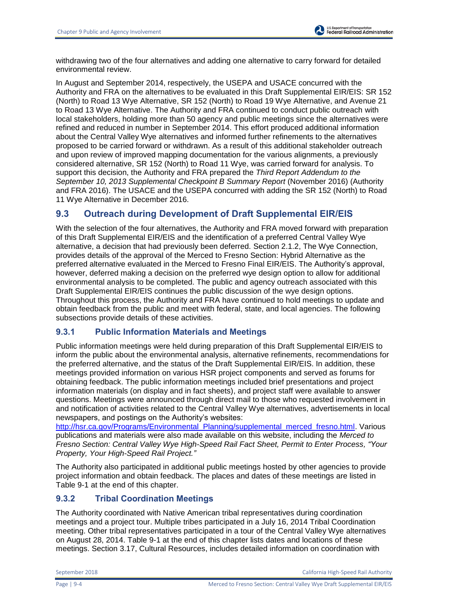withdrawing two of the four alternatives and adding one alternative to carry forward for detailed environmental review.

In August and September 2014, respectively, the USEPA and USACE concurred with the Authority and FRA on the alternatives to be evaluated in this Draft Supplemental EIR/EIS: SR 152 (North) to Road 13 Wye Alternative, SR 152 (North) to Road 19 Wye Alternative, and Avenue 21 to Road 13 Wye Alternative. The Authority and FRA continued to conduct public outreach with local stakeholders, holding more than 50 agency and public meetings since the alternatives were refined and reduced in number in September 2014. This effort produced additional information about the Central Valley Wye alternatives and informed further refinements to the alternatives proposed to be carried forward or withdrawn. As a result of this additional stakeholder outreach and upon review of improved mapping documentation for the various alignments, a previously considered alternative, SR 152 (North) to Road 11 Wye, was carried forward for analysis. To support this decision, the Authority and FRA prepared the *Third Report Addendum to the September 10, 2013 Supplemental Checkpoint B Summary Report* (November 2016) (Authority and FRA 2016). The USACE and the USEPA concurred with adding the SR 152 (North) to Road 11 Wye Alternative in December 2016.

# **9.3 Outreach during Development of Draft Supplemental EIR/EIS**

With the selection of the four alternatives, the Authority and FRA moved forward with preparation of this Draft Supplemental EIR/EIS and the identification of a preferred Central Valley Wye alternative, a decision that had previously been deferred. Section 2.1.2, The Wye Connection, provides details of the approval of the Merced to Fresno Section: Hybrid Alternative as the preferred alternative evaluated in the Merced to Fresno Final EIR/EIS. The Authority's approval, however, deferred making a decision on the preferred wye design option to allow for additional environmental analysis to be completed. The public and agency outreach associated with this Draft Supplemental EIR/EIS continues the public discussion of the wye design options. Throughout this process, the Authority and FRA have continued to hold meetings to update and obtain feedback from the public and meet with federal, state, and local agencies. The following subsections provide details of these activities.

### **9.3.1 Public Information Materials and Meetings**

Public information meetings were held during preparation of this Draft Supplemental EIR/EIS to inform the public about the environmental analysis, alternative refinements, recommendations for the preferred alternative, and the status of the Draft Supplemental EIR/EIS. In addition, these meetings provided information on various HSR project components and served as forums for obtaining feedback. The public information meetings included brief presentations and project information materials (on display and in fact sheets), and project staff were available to answer questions. Meetings were announced through direct mail to those who requested involvement in and notification of activities related to the Central Valley Wye alternatives, advertisements in local newspapers, and postings on the Authority's websites:

[http://hsr.ca.gov/Programs/Environmental\\_Planning/supplemental\\_merced\\_fresno.html.](http://hsr.ca.gov/Programs/Environmental_Planning/supplemental_merced_fresno.html) Various publications and materials were also made available on this website, including the *Merced to Fresno Section: Central Valley Wye High-Speed Rail Fact Sheet, Permit to Enter Process, "Your Property, Your High-Speed Rail Project."*

The Authority also participated in additional public meetings hosted by other agencies to provide project information and obtain feedback. The places and dates of these meetings are listed in [Table 9-1](#page-5-0) at the end of this chapter.

### **9.3.2 Tribal Coordination Meetings**

The Authority coordinated with Native American tribal representatives during coordination meetings and a project tour. Multiple tribes participated in a July 16, 2014 Tribal Coordination meeting. Other tribal representatives participated in a tour of the Central Valley Wye alternatives on August 28, 2014. [Table 9-1](#page-5-0) at the end of this chapter lists dates and locations of these meetings. Section 3.17, Cultural Resources, includes detailed information on coordination with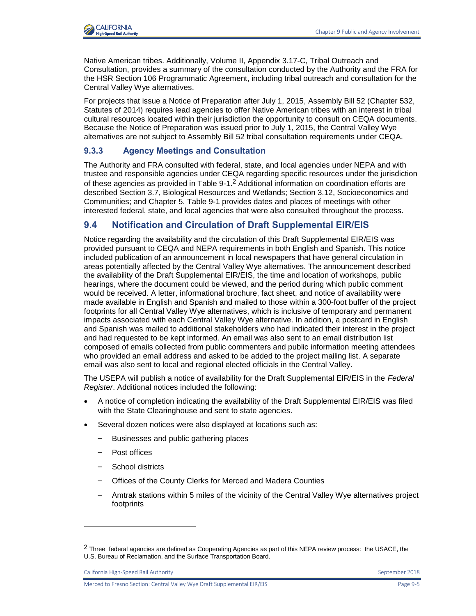

Native American tribes. Additionally, Volume II, Appendix 3.17-C, Tribal Outreach and Consultation, provides a summary of the consultation conducted by the Authority and the FRA for the HSR Section 106 Programmatic Agreement, including tribal outreach and consultation for the Central Valley Wye alternatives.

For projects that issue a Notice of Preparation after July 1, 2015, Assembly Bill 52 (Chapter 532, Statutes of 2014) requires lead agencies to offer Native American tribes with an interest in tribal cultural resources located within their jurisdiction the opportunity to consult on CEQA documents. Because the Notice of Preparation was issued prior to July 1, 2015, the Central Valley Wye alternatives are not subject to Assembly Bill 52 tribal consultation requirements under CEQA.

### **9.3.3 Agency Meetings and Consultation**

The Authority and FRA consulted with federal, state, and local agencies under NEPA and with trustee and responsible agencies under CEQA regarding specific resources under the jurisdiction of these agencies as provided in Table  $9-1.2$  Additional information on coordination efforts are described Section 3.7, Biological Resources and Wetlands; Section 3.12, Socioeconomics and Communities; and Chapter 5. [Table 9-1](#page-5-0) provides dates and places of meetings with other interested federal, state, and local agencies that were also consulted throughout the process.

# **9.4 Notification and Circulation of Draft Supplemental EIR/EIS**

Notice regarding the availability and the circulation of this Draft Supplemental EIR/EIS was provided pursuant to CEQA and NEPA requirements in both English and Spanish. This notice included publication of an announcement in local newspapers that have general circulation in areas potentially affected by the Central Valley Wye alternatives. The announcement described the availability of the Draft Supplemental EIR/EIS, the time and location of workshops, public hearings, where the document could be viewed, and the period during which public comment would be received. A letter, informational brochure, fact sheet, and notice of availability were made available in English and Spanish and mailed to those within a 300-foot buffer of the project footprints for all Central Valley Wye alternatives, which is inclusive of temporary and permanent impacts associated with each Central Valley Wye alternative. In addition, a postcard in English and Spanish was mailed to additional stakeholders who had indicated their interest in the project and had requested to be kept informed. An email was also sent to an email distribution list composed of emails collected from public commenters and public information meeting attendees who provided an email address and asked to be added to the project mailing list. A separate email was also sent to local and regional elected officials in the Central Valley.

The USEPA will publish a notice of availability for the Draft Supplemental EIR/EIS in the *Federal Register*. Additional notices included the following:

- A notice of completion indicating the availability of the Draft Supplemental EIR/EIS was filed with the State Clearinghouse and sent to state agencies.
- Several dozen notices were also displayed at locations such as:
	- Businesses and public gathering places
	- Post offices
	- School districts
	- Offices of the County Clerks for Merced and Madera Counties
	- Amtrak stations within 5 miles of the vicinity of the Central Valley Wye alternatives project footprints

California High-Speed Rail Authority **September 2018** September 2018

l

<sup>&</sup>lt;sup>2</sup> Three federal agencies are defined as Cooperating Agencies as part of this NEPA review process: the USACE, the U.S. Bureau of Reclamation, and the Surface Transportation Board.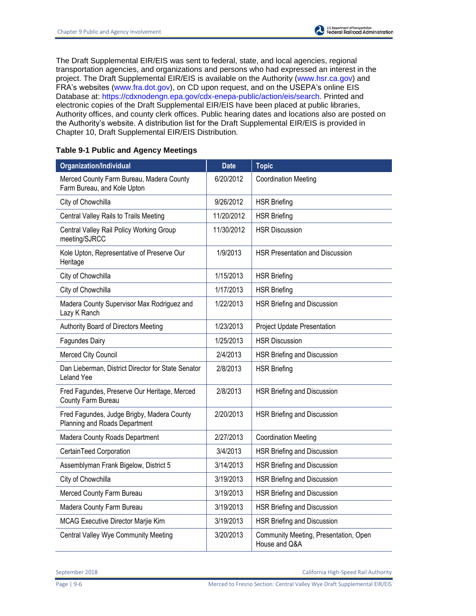The Draft Supplemental EIR/EIS was sent to federal, state, and local agencies, regional transportation agencies, and organizations and persons who had expressed an interest in the project. The Draft Supplemental EIR/EIS is available on the Authority [\(www.hsr.ca.gov\)](http://www.hsr.ca.gov/) and FRA's websites [\(www.fra.dot.gov\)](http://www.fra.dot.gov/), on CD upon request, and on the USEPA's online EIS Database at: [https://cdxnodengn.epa.gov/cdx-enepa-public/action/eis/search.](https://cdxnodengn.epa.gov/cdx-enepa-public/action/eis/search) Printed and electronic copies of the Draft Supplemental EIR/EIS have been placed at public libraries, Authority offices, and county clerk offices. Public hearing dates and locations also are posted on the Authority's website. A distribution list for the Draft Supplemental EIR/EIS is provided in Chapter 10, Draft Supplemental EIR/EIS Distribution.

<span id="page-5-0"></span>

|  |  |  |  | <b>Table 9-1 Public and Agency Meetings</b> |
|--|--|--|--|---------------------------------------------|
|--|--|--|--|---------------------------------------------|

| <b>Organization/Individual</b>                                              | <b>Date</b> | <b>Topic</b>                                           |
|-----------------------------------------------------------------------------|-------------|--------------------------------------------------------|
| Merced County Farm Bureau, Madera County<br>Farm Bureau, and Kole Upton     | 6/20/2012   | <b>Coordination Meeting</b>                            |
| City of Chowchilla                                                          | 9/26/2012   | <b>HSR Briefing</b>                                    |
| Central Valley Rails to Trails Meeting                                      | 11/20/2012  | <b>HSR Briefing</b>                                    |
| Central Valley Rail Policy Working Group<br>meeting/SJRCC                   | 11/30/2012  | <b>HSR Discussion</b>                                  |
| Kole Upton, Representative of Preserve Our<br>Heritage                      | 1/9/2013    | <b>HSR Presentation and Discussion</b>                 |
| City of Chowchilla                                                          | 1/15/2013   | <b>HSR Briefing</b>                                    |
| City of Chowchilla                                                          | 1/17/2013   | <b>HSR Briefing</b>                                    |
| Madera County Supervisor Max Rodriguez and<br>Lazy K Ranch                  | 1/22/2013   | HSR Briefing and Discussion                            |
| Authority Board of Directors Meeting                                        | 1/23/2013   | Project Update Presentation                            |
| <b>Fagundes Dairy</b>                                                       | 1/25/2013   | <b>HSR Discussion</b>                                  |
| Merced City Council                                                         | 2/4/2013    | HSR Briefing and Discussion                            |
| Dan Lieberman, District Director for State Senator<br><b>Leland Yee</b>     | 2/8/2013    | <b>HSR Briefing</b>                                    |
| Fred Fagundes, Preserve Our Heritage, Merced<br>County Farm Bureau          | 2/8/2013    | HSR Briefing and Discussion                            |
| Fred Fagundes, Judge Brigby, Madera County<br>Planning and Roads Department | 2/20/2013   | HSR Briefing and Discussion                            |
| Madera County Roads Department                                              | 2/27/2013   | <b>Coordination Meeting</b>                            |
| CertainTeed Corporation                                                     | 3/4/2013    | HSR Briefing and Discussion                            |
| Assemblyman Frank Bigelow, District 5                                       | 3/14/2013   | <b>HSR Briefing and Discussion</b>                     |
| City of Chowchilla                                                          | 3/19/2013   | HSR Briefing and Discussion                            |
| Merced County Farm Bureau                                                   | 3/19/2013   | HSR Briefing and Discussion                            |
| Madera County Farm Bureau                                                   | 3/19/2013   | HSR Briefing and Discussion                            |
| MCAG Executive Director Marjie Kirn                                         | 3/19/2013   | HSR Briefing and Discussion                            |
| Central Valley Wye Community Meeting                                        | 3/20/2013   | Community Meeting, Presentation, Open<br>House and Q&A |

September 2018 California High-Speed Rail Authority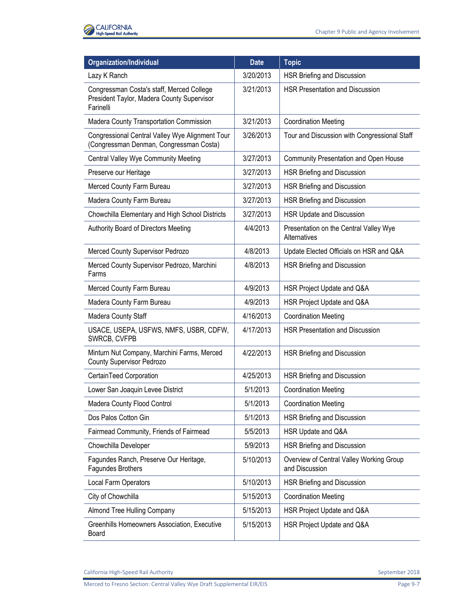

| <b>Organization/Individual</b>                                                                       | <b>Date</b> | <b>Topic</b>                                               |
|------------------------------------------------------------------------------------------------------|-------------|------------------------------------------------------------|
| Lazy K Ranch                                                                                         | 3/20/2013   | HSR Briefing and Discussion                                |
| Congressman Costa's staff, Merced College<br>President Taylor, Madera County Supervisor<br>Farinelli | 3/21/2013   | <b>HSR Presentation and Discussion</b>                     |
| <b>Madera County Transportation Commission</b>                                                       | 3/21/2013   | <b>Coordination Meeting</b>                                |
| Congressional Central Valley Wye Alignment Tour<br>(Congressman Denman, Congressman Costa)           | 3/26/2013   | Tour and Discussion with Congressional Staff               |
| Central Valley Wye Community Meeting                                                                 | 3/27/2013   | Community Presentation and Open House                      |
| Preserve our Heritage                                                                                | 3/27/2013   | HSR Briefing and Discussion                                |
| Merced County Farm Bureau                                                                            | 3/27/2013   | HSR Briefing and Discussion                                |
| Madera County Farm Bureau                                                                            | 3/27/2013   | HSR Briefing and Discussion                                |
| Chowchilla Elementary and High School Districts                                                      | 3/27/2013   | HSR Update and Discussion                                  |
| Authority Board of Directors Meeting                                                                 | 4/4/2013    | Presentation on the Central Valley Wye<br>Alternatives     |
| Merced County Supervisor Pedrozo                                                                     | 4/8/2013    | Update Elected Officials on HSR and Q&A                    |
| Merced County Supervisor Pedrozo, Marchini<br>Farms                                                  | 4/8/2013    | HSR Briefing and Discussion                                |
| Merced County Farm Bureau                                                                            | 4/9/2013    | HSR Project Update and Q&A                                 |
| Madera County Farm Bureau                                                                            | 4/9/2013    | HSR Project Update and Q&A                                 |
| Madera County Staff                                                                                  | 4/16/2013   | <b>Coordination Meeting</b>                                |
| USACE, USEPA, USFWS, NMFS, USBR, CDFW,<br>SWRCB, CVFPB                                               | 4/17/2013   | <b>HSR Presentation and Discussion</b>                     |
| Minturn Nut Company, Marchini Farms, Merced<br>County Supervisor Pedrozo                             | 4/22/2013   | HSR Briefing and Discussion                                |
| CertainTeed Corporation                                                                              | 4/25/2013   | HSR Briefing and Discussion                                |
| Lower San Joaquin Levee District                                                                     | 5/1/2013    | <b>Coordination Meeting</b>                                |
| Madera County Flood Control                                                                          | 5/1/2013    | <b>Coordination Meeting</b>                                |
| Dos Palos Cotton Gin                                                                                 | 5/1/2013    | HSR Briefing and Discussion                                |
| Fairmead Community, Friends of Fairmead                                                              | 5/5/2013    | HSR Update and Q&A                                         |
| Chowchilla Developer                                                                                 | 5/9/2013    | HSR Briefing and Discussion                                |
| Fagundes Ranch, Preserve Our Heritage,<br>Fagundes Brothers                                          | 5/10/2013   | Overview of Central Valley Working Group<br>and Discussion |
| Local Farm Operators                                                                                 | 5/10/2013   | HSR Briefing and Discussion                                |
| City of Chowchilla                                                                                   | 5/15/2013   | <b>Coordination Meeting</b>                                |
| Almond Tree Hulling Company                                                                          | 5/15/2013   | HSR Project Update and Q&A                                 |
| Greenhills Homeowners Association, Executive<br>Board                                                | 5/15/2013   | HSR Project Update and Q&A                                 |

California High-Speed Rail Authority **September 2018** September 2018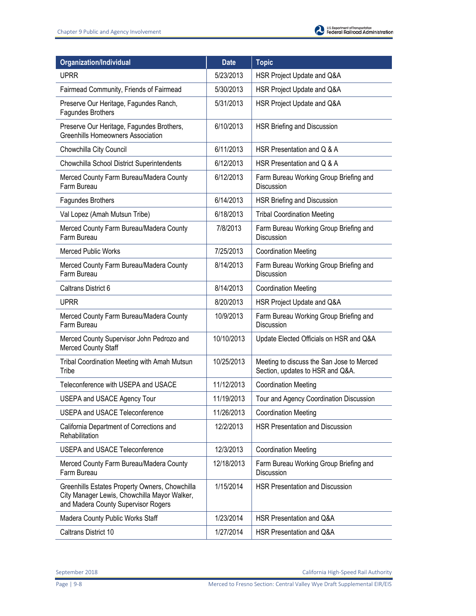| <b>Organization/Individual</b>                                                                                                        | <b>Date</b> | <b>Topic</b>                                                                  |
|---------------------------------------------------------------------------------------------------------------------------------------|-------------|-------------------------------------------------------------------------------|
| <b>UPRR</b>                                                                                                                           | 5/23/2013   | HSR Project Update and Q&A                                                    |
| Fairmead Community, Friends of Fairmead                                                                                               | 5/30/2013   | HSR Project Update and Q&A                                                    |
| Preserve Our Heritage, Fagundes Ranch,<br>Fagundes Brothers                                                                           | 5/31/2013   | HSR Project Update and Q&A                                                    |
| Preserve Our Heritage, Fagundes Brothers,<br><b>Greenhills Homeowners Association</b>                                                 | 6/10/2013   | HSR Briefing and Discussion                                                   |
| Chowchilla City Council                                                                                                               | 6/11/2013   | HSR Presentation and Q & A                                                    |
| Chowchilla School District Superintendents                                                                                            | 6/12/2013   | HSR Presentation and Q & A                                                    |
| Merced County Farm Bureau/Madera County<br>Farm Bureau                                                                                | 6/12/2013   | Farm Bureau Working Group Briefing and<br>Discussion                          |
| Fagundes Brothers                                                                                                                     | 6/14/2013   | HSR Briefing and Discussion                                                   |
| Val Lopez (Amah Mutsun Tribe)                                                                                                         | 6/18/2013   | <b>Tribal Coordination Meeting</b>                                            |
| Merced County Farm Bureau/Madera County<br>Farm Bureau                                                                                | 7/8/2013    | Farm Bureau Working Group Briefing and<br>Discussion                          |
| <b>Merced Public Works</b>                                                                                                            | 7/25/2013   | <b>Coordination Meeting</b>                                                   |
| Merced County Farm Bureau/Madera County<br>Farm Bureau                                                                                | 8/14/2013   | Farm Bureau Working Group Briefing and<br>Discussion                          |
| Caltrans District 6                                                                                                                   | 8/14/2013   | <b>Coordination Meeting</b>                                                   |
| <b>UPRR</b>                                                                                                                           | 8/20/2013   | HSR Project Update and Q&A                                                    |
| Merced County Farm Bureau/Madera County<br>Farm Bureau                                                                                | 10/9/2013   | Farm Bureau Working Group Briefing and<br>Discussion                          |
| Merced County Supervisor John Pedrozo and<br>Merced County Staff                                                                      | 10/10/2013  | Update Elected Officials on HSR and Q&A                                       |
| Tribal Coordination Meeting with Amah Mutsun<br>Tribe                                                                                 | 10/25/2013  | Meeting to discuss the San Jose to Merced<br>Section, updates to HSR and Q&A. |
| Teleconference with USEPA and USACE                                                                                                   | 11/12/2013  | <b>Coordination Meeting</b>                                                   |
| USEPA and USACE Agency Tour                                                                                                           | 11/19/2013  | Tour and Agency Coordination Discussion                                       |
| <b>USEPA and USACE Teleconference</b>                                                                                                 | 11/26/2013  | <b>Coordination Meeting</b>                                                   |
| California Department of Corrections and<br>Rehabilitation                                                                            | 12/2/2013   | <b>HSR Presentation and Discussion</b>                                        |
| <b>USEPA and USACE Teleconference</b>                                                                                                 | 12/3/2013   | <b>Coordination Meeting</b>                                                   |
| Merced County Farm Bureau/Madera County<br>Farm Bureau                                                                                | 12/18/2013  | Farm Bureau Working Group Briefing and<br>Discussion                          |
| Greenhills Estates Property Owners, Chowchilla<br>City Manager Lewis, Chowchilla Mayor Walker,<br>and Madera County Supervisor Rogers | 1/15/2014   | <b>HSR Presentation and Discussion</b>                                        |
| Madera County Public Works Staff                                                                                                      | 1/23/2014   | HSR Presentation and Q&A                                                      |
| Caltrans District 10                                                                                                                  | 1/27/2014   | HSR Presentation and Q&A                                                      |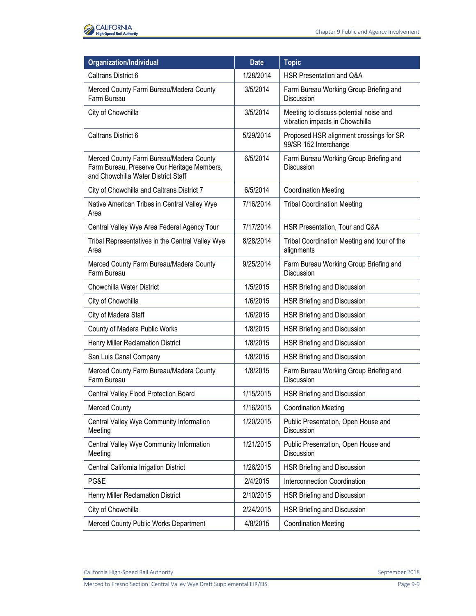

| Organization/Individual                                                                                                       | <b>Date</b> | <b>Topic</b>                                                              |
|-------------------------------------------------------------------------------------------------------------------------------|-------------|---------------------------------------------------------------------------|
| Caltrans District 6                                                                                                           | 1/28/2014   | HSR Presentation and Q&A                                                  |
| Merced County Farm Bureau/Madera County<br>Farm Bureau                                                                        | 3/5/2014    | Farm Bureau Working Group Briefing and<br>Discussion                      |
| City of Chowchilla                                                                                                            | 3/5/2014    | Meeting to discuss potential noise and<br>vibration impacts in Chowchilla |
| Caltrans District 6                                                                                                           | 5/29/2014   | Proposed HSR alignment crossings for SR<br>99/SR 152 Interchange          |
| Merced County Farm Bureau/Madera County<br>Farm Bureau, Preserve Our Heritage Members,<br>and Chowchilla Water District Staff | 6/5/2014    | Farm Bureau Working Group Briefing and<br>Discussion                      |
| City of Chowchilla and Caltrans District 7                                                                                    | 6/5/2014    | <b>Coordination Meeting</b>                                               |
| Native American Tribes in Central Valley Wye<br>Area                                                                          | 7/16/2014   | <b>Tribal Coordination Meeting</b>                                        |
| Central Valley Wye Area Federal Agency Tour                                                                                   | 7/17/2014   | HSR Presentation, Tour and Q&A                                            |
| Tribal Representatives in the Central Valley Wye<br>Area                                                                      | 8/28/2014   | Tribal Coordination Meeting and tour of the<br>alignments                 |
| Merced County Farm Bureau/Madera County<br>Farm Bureau                                                                        | 9/25/2014   | Farm Bureau Working Group Briefing and<br><b>Discussion</b>               |
| Chowchilla Water District                                                                                                     | 1/5/2015    | HSR Briefing and Discussion                                               |
| City of Chowchilla                                                                                                            | 1/6/2015    | HSR Briefing and Discussion                                               |
| City of Madera Staff                                                                                                          | 1/6/2015    | HSR Briefing and Discussion                                               |
| County of Madera Public Works                                                                                                 | 1/8/2015    | HSR Briefing and Discussion                                               |
| Henry Miller Reclamation District                                                                                             | 1/8/2015    | HSR Briefing and Discussion                                               |
| San Luis Canal Company                                                                                                        | 1/8/2015    | HSR Briefing and Discussion                                               |
| Merced County Farm Bureau/Madera County<br>Farm Bureau                                                                        | 1/8/2015    | Farm Bureau Working Group Briefing and<br><b>Discussion</b>               |
| Central Valley Flood Protection Board                                                                                         | 1/15/2015   | HSR Briefing and Discussion                                               |
| <b>Merced County</b>                                                                                                          | 1/16/2015   | <b>Coordination Meeting</b>                                               |
| Central Valley Wye Community Information<br>Meeting                                                                           | 1/20/2015   | Public Presentation, Open House and<br><b>Discussion</b>                  |
| Central Valley Wye Community Information<br>Meeting                                                                           | 1/21/2015   | Public Presentation, Open House and<br>Discussion                         |
| Central California Irrigation District                                                                                        | 1/26/2015   | HSR Briefing and Discussion                                               |
| PG&E                                                                                                                          | 2/4/2015    | Interconnection Coordination                                              |
| Henry Miller Reclamation District                                                                                             | 2/10/2015   | HSR Briefing and Discussion                                               |
| City of Chowchilla                                                                                                            | 2/24/2015   | HSR Briefing and Discussion                                               |
| Merced County Public Works Department                                                                                         | 4/8/2015    | <b>Coordination Meeting</b>                                               |

California High-Speed Rail Authority **September 2018** September 2018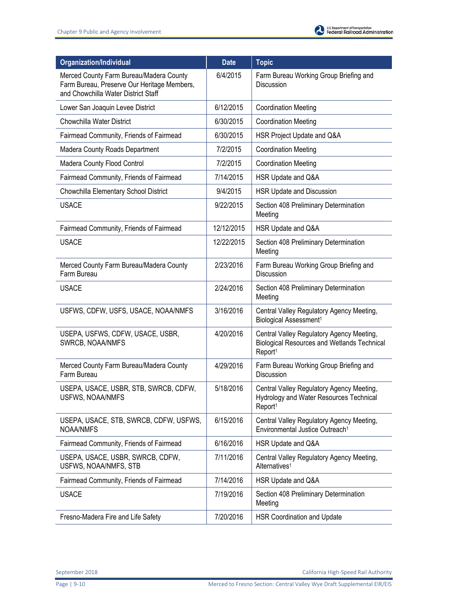| Organization/Individual                                                                                                       | <b>Date</b> | Topic                                                                                                                  |
|-------------------------------------------------------------------------------------------------------------------------------|-------------|------------------------------------------------------------------------------------------------------------------------|
| Merced County Farm Bureau/Madera County<br>Farm Bureau, Preserve Our Heritage Members,<br>and Chowchilla Water District Staff | 6/4/2015    | Farm Bureau Working Group Briefing and<br>Discussion                                                                   |
| Lower San Joaquin Levee District                                                                                              | 6/12/2015   | <b>Coordination Meeting</b>                                                                                            |
| Chowchilla Water District                                                                                                     | 6/30/2015   | <b>Coordination Meeting</b>                                                                                            |
| Fairmead Community, Friends of Fairmead                                                                                       | 6/30/2015   | HSR Project Update and Q&A                                                                                             |
| Madera County Roads Department                                                                                                | 7/2/2015    | <b>Coordination Meeting</b>                                                                                            |
| Madera County Flood Control                                                                                                   | 7/2/2015    | <b>Coordination Meeting</b>                                                                                            |
| Fairmead Community, Friends of Fairmead                                                                                       | 7/14/2015   | HSR Update and Q&A                                                                                                     |
| Chowchilla Elementary School District                                                                                         | 9/4/2015    | HSR Update and Discussion                                                                                              |
| <b>USACE</b>                                                                                                                  | 9/22/2015   | Section 408 Preliminary Determination<br>Meeting                                                                       |
| Fairmead Community, Friends of Fairmead                                                                                       | 12/12/2015  | HSR Update and Q&A                                                                                                     |
| <b>USACE</b>                                                                                                                  | 12/22/2015  | Section 408 Preliminary Determination<br>Meeting                                                                       |
| Merced County Farm Bureau/Madera County<br>Farm Bureau                                                                        | 2/23/2016   | Farm Bureau Working Group Briefing and<br>Discussion                                                                   |
| <b>USACE</b>                                                                                                                  | 2/24/2016   | Section 408 Preliminary Determination<br>Meeting                                                                       |
| USFWS, CDFW, USFS, USACE, NOAA/NMFS                                                                                           | 3/16/2016   | Central Valley Regulatory Agency Meeting,<br>Biological Assessment <sup>1</sup>                                        |
| USEPA, USFWS, CDFW, USACE, USBR,<br>SWRCB, NOAA/NMFS                                                                          | 4/20/2016   | Central Valley Regulatory Agency Meeting,<br><b>Biological Resources and Wetlands Technical</b><br>Report <sup>1</sup> |
| Merced County Farm Bureau/Madera County<br>Farm Bureau                                                                        | 4/29/2016   | Farm Bureau Working Group Briefing and<br>Discussion                                                                   |
| USEPA, USACE, USBR, STB, SWRCB, CDFW,<br><b>USFWS, NOAA/NMFS</b>                                                              | 5/18/2016   | Central Valley Regulatory Agency Meeting,<br>Hydrology and Water Resources Technical<br>Report <sup>1</sup>            |
| USEPA, USACE, STB, SWRCB, CDFW, USFWS,<br><b>NOAA/NMFS</b>                                                                    | 6/15/2016   | Central Valley Regulatory Agency Meeting,<br>Environmental Justice Outreach <sup>1</sup>                               |
| Fairmead Community, Friends of Fairmead                                                                                       | 6/16/2016   | HSR Update and Q&A                                                                                                     |
| USEPA, USACE, USBR, SWRCB, CDFW,<br>USFWS, NOAA/NMFS, STB                                                                     | 7/11/2016   | Central Valley Regulatory Agency Meeting,<br>Alternatives <sup>1</sup>                                                 |
| Fairmead Community, Friends of Fairmead                                                                                       | 7/14/2016   | HSR Update and Q&A                                                                                                     |
| <b>USACE</b>                                                                                                                  | 7/19/2016   | Section 408 Preliminary Determination<br>Meeting                                                                       |
| Fresno-Madera Fire and Life Safety                                                                                            | 7/20/2016   | HSR Coordination and Update                                                                                            |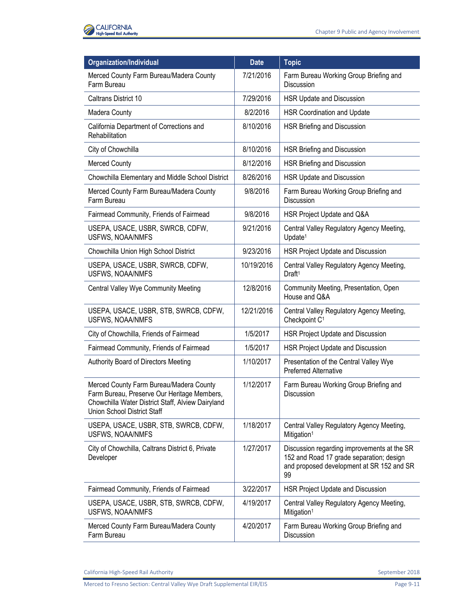

| Organization/Individual                                                                                                                                                    | <b>Date</b> | <b>Topic</b>                                                                                                                               |
|----------------------------------------------------------------------------------------------------------------------------------------------------------------------------|-------------|--------------------------------------------------------------------------------------------------------------------------------------------|
| Merced County Farm Bureau/Madera County<br>Farm Bureau                                                                                                                     | 7/21/2016   | Farm Bureau Working Group Briefing and<br>Discussion                                                                                       |
| Caltrans District 10                                                                                                                                                       | 7/29/2016   | HSR Update and Discussion                                                                                                                  |
| Madera County                                                                                                                                                              | 8/2/2016    | <b>HSR Coordination and Update</b>                                                                                                         |
| California Department of Corrections and<br>Rehabilitation                                                                                                                 | 8/10/2016   | <b>HSR Briefing and Discussion</b>                                                                                                         |
| City of Chowchilla                                                                                                                                                         | 8/10/2016   | HSR Briefing and Discussion                                                                                                                |
| <b>Merced County</b>                                                                                                                                                       | 8/12/2016   | HSR Briefing and Discussion                                                                                                                |
| Chowchilla Elementary and Middle School District                                                                                                                           | 8/26/2016   | HSR Update and Discussion                                                                                                                  |
| Merced County Farm Bureau/Madera County<br>Farm Bureau                                                                                                                     | 9/8/2016    | Farm Bureau Working Group Briefing and<br>Discussion                                                                                       |
| Fairmead Community, Friends of Fairmead                                                                                                                                    | 9/8/2016    | HSR Project Update and Q&A                                                                                                                 |
| USEPA, USACE, USBR, SWRCB, CDFW,<br>USFWS, NOAA/NMFS                                                                                                                       | 9/21/2016   | Central Valley Regulatory Agency Meeting,<br>Update <sup>1</sup>                                                                           |
| Chowchilla Union High School District                                                                                                                                      | 9/23/2016   | HSR Project Update and Discussion                                                                                                          |
| USEPA, USACE, USBR, SWRCB, CDFW,<br>USFWS, NOAA/NMFS                                                                                                                       | 10/19/2016  | Central Valley Regulatory Agency Meeting,<br>Draft <sup>1</sup>                                                                            |
| Central Valley Wye Community Meeting                                                                                                                                       | 12/8/2016   | Community Meeting, Presentation, Open<br>House and Q&A                                                                                     |
| USEPA, USACE, USBR, STB, SWRCB, CDFW,<br>USFWS, NOAA/NMFS                                                                                                                  | 12/21/2016  | Central Valley Regulatory Agency Meeting,<br>Checkpoint C <sup>1</sup>                                                                     |
| City of Chowchilla, Friends of Fairmead                                                                                                                                    | 1/5/2017    | HSR Project Update and Discussion                                                                                                          |
| Fairmead Community, Friends of Fairmead                                                                                                                                    | 1/5/2017    | HSR Project Update and Discussion                                                                                                          |
| Authority Board of Directors Meeting                                                                                                                                       | 1/10/2017   | Presentation of the Central Valley Wye<br><b>Preferred Alternative</b>                                                                     |
| Merced County Farm Bureau/Madera County<br>Farm Bureau, Preserve Our Heritage Members,<br>Chowchilla Water District Staff, Alview Dairyland<br>Union School District Staff | 1/12/2017   | Farm Bureau Working Group Briefing and<br>Discussion                                                                                       |
| USEPA, USACE, USBR, STB, SWRCB, CDFW,<br>USFWS, NOAA/NMFS                                                                                                                  | 1/18/2017   | Central Valley Regulatory Agency Meeting,<br>Mitigation <sup>1</sup>                                                                       |
| City of Chowchilla, Caltrans District 6, Private<br>Developer                                                                                                              | 1/27/2017   | Discussion regarding improvements at the SR<br>152 and Road 17 grade separation; design<br>and proposed development at SR 152 and SR<br>99 |
| Fairmead Community, Friends of Fairmead                                                                                                                                    | 3/22/2017   | HSR Project Update and Discussion                                                                                                          |
| USEPA, USACE, USBR, STB, SWRCB, CDFW,<br>USFWS, NOAA/NMFS                                                                                                                  | 4/19/2017   | Central Valley Regulatory Agency Meeting,<br>Mitigation <sup>1</sup>                                                                       |
| Merced County Farm Bureau/Madera County<br>Farm Bureau                                                                                                                     | 4/20/2017   | Farm Bureau Working Group Briefing and<br>Discussion                                                                                       |

California High-Speed Rail Authority **September 2018** September 2018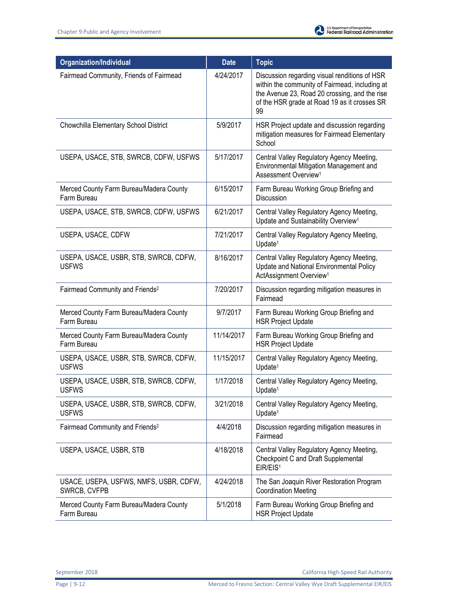| <b>Organization/Individual</b>                         | <b>Date</b> | <b>Topic</b>                                                                                                                                                                                           |
|--------------------------------------------------------|-------------|--------------------------------------------------------------------------------------------------------------------------------------------------------------------------------------------------------|
| Fairmead Community, Friends of Fairmead                | 4/24/2017   | Discussion regarding visual renditions of HSR<br>within the community of Fairmead, including at<br>the Avenue 23, Road 20 crossing, and the rise<br>of the HSR grade at Road 19 as it crosses SR<br>99 |
| Chowchilla Elementary School District                  | 5/9/2017    | HSR Project update and discussion regarding<br>mitigation measures for Fairmead Elementary<br>School                                                                                                   |
| USEPA, USACE, STB, SWRCB, CDFW, USFWS                  | 5/17/2017   | Central Valley Regulatory Agency Meeting,<br>Environmental Mitigation Management and<br>Assessment Overview <sup>1</sup>                                                                               |
| Merced County Farm Bureau/Madera County<br>Farm Bureau | 6/15/2017   | Farm Bureau Working Group Briefing and<br>Discussion                                                                                                                                                   |
| USEPA, USACE, STB, SWRCB, CDFW, USFWS                  | 6/21/2017   | Central Valley Regulatory Agency Meeting,<br>Update and Sustainability Overview <sup>1</sup>                                                                                                           |
| USEPA, USACE, CDFW                                     | 7/21/2017   | Central Valley Regulatory Agency Meeting,<br>Update <sup>1</sup>                                                                                                                                       |
| USEPA, USACE, USBR, STB, SWRCB, CDFW,<br><b>USFWS</b>  | 8/16/2017   | Central Valley Regulatory Agency Meeting,<br>Update and National Environmental Policy<br>ActAssignment Overview <sup>1</sup>                                                                           |
| Fairmead Community and Friends <sup>2</sup>            | 7/20/2017   | Discussion regarding mitigation measures in<br>Fairmead                                                                                                                                                |
| Merced County Farm Bureau/Madera County<br>Farm Bureau | 9/7/2017    | Farm Bureau Working Group Briefing and<br><b>HSR Project Update</b>                                                                                                                                    |
| Merced County Farm Bureau/Madera County<br>Farm Bureau | 11/14/2017  | Farm Bureau Working Group Briefing and<br><b>HSR Project Update</b>                                                                                                                                    |
| USEPA, USACE, USBR, STB, SWRCB, CDFW,<br><b>USFWS</b>  | 11/15/2017  | Central Valley Regulatory Agency Meeting,<br>Update <sup>1</sup>                                                                                                                                       |
| USEPA, USACE, USBR, STB, SWRCB, CDFW,<br><b>USFWS</b>  | 1/17/2018   | Central Valley Regulatory Agency Meeting,<br>Update <sup>1</sup>                                                                                                                                       |
| USEPA, USACE, USBR, STB, SWRCB, CDFW,<br><b>USFWS</b>  | 3/21/2018   | Central Valley Regulatory Agency Meeting,<br>Update <sup>1</sup>                                                                                                                                       |
| Fairmead Community and Friends <sup>2</sup>            | 4/4/2018    | Discussion regarding mitigation measures in<br>Fairmead                                                                                                                                                |
| USEPA, USACE, USBR, STB                                | 4/18/2018   | Central Valley Regulatory Agency Meeting,<br>Checkpoint C and Draft Supplemental<br>EIR/EIS <sup>1</sup>                                                                                               |
| USACE, USEPA, USFWS, NMFS, USBR, CDFW,<br>SWRCB, CVFPB | 4/24/2018   | The San Joaquin River Restoration Program<br><b>Coordination Meeting</b>                                                                                                                               |
| Merced County Farm Bureau/Madera County<br>Farm Bureau | 5/1/2018    | Farm Bureau Working Group Briefing and<br><b>HSR Project Update</b>                                                                                                                                    |

September 2018 California High-Speed Rail Authority